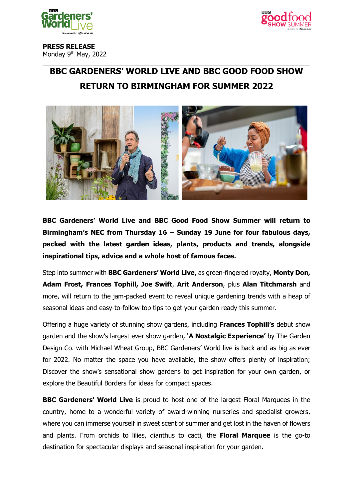



**PRESS RELEASE** Monday 9th May, 2022

# \_\_\_\_\_\_\_\_\_\_\_\_\_\_\_\_\_\_\_\_\_\_\_\_\_\_\_\_\_\_\_\_\_\_\_\_\_\_\_\_\_\_\_\_\_\_\_\_\_\_\_\_\_\_\_\_\_\_\_\_\_\_\_\_\_\_\_\_\_\_\_\_\_\_\_ **BBC GARDENERS' WORLD LIVE AND BBC GOOD FOOD SHOW RETURN TO BIRMINGHAM FOR SUMMER 2022**



**BBC Gardeners' World Live and BBC Good Food Show Summer will return to Birmingham's NEC from Thursday 16 – Sunday 19 June for four fabulous days, packed with the latest garden ideas, plants, products and trends, alongside inspirational tips, advice and a whole host of famous faces.**

Step into summer with **BBC Gardeners' World Live**, as green-fingered royalty, **Monty Don, Adam Frost, Frances Tophill, Joe Swift**, **Arit Anderson**, plus **Alan Titchmarsh** and more, will return to the jam-packed event to reveal unique gardening trends with a heap of seasonal ideas and easy-to-follow top tips to get your garden ready this summer.

Offering a huge variety of stunning show gardens, including **Frances Tophill's** debut show garden and the show's largest ever show garden, **'A Nostalgic Experience'** by The Garden Design Co. with Michael Wheat Group, BBC Gardeners' World live is back and as big as ever for 2022. No matter the space you have available, the show offers plenty of inspiration; Discover the show's sensational show gardens to get inspiration for your own garden, or explore the Beautiful Borders for ideas for compact spaces.

**BBC Gardeners' World Live** is proud to host one of the largest Floral Marquees in the country, home to a wonderful variety of award-winning nurseries and specialist growers, where you can immerse yourself in sweet scent of summer and get lost in the haven of flowers and plants. From orchids to lilies, dianthus to cacti, the **Floral Marquee** is the go-to destination for spectacular displays and seasonal inspiration for your garden.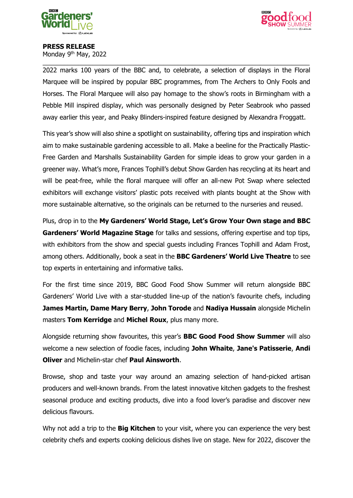



#### **PRESS RELEASE**

Monday 9<sup>th</sup> May, 2022

\_\_\_\_\_\_\_\_\_\_\_\_\_\_\_\_\_\_\_\_\_\_\_\_\_\_\_\_\_\_\_\_\_\_\_\_\_\_\_\_\_\_\_\_\_\_\_\_\_\_\_\_\_\_\_\_\_\_\_\_\_\_\_\_\_\_\_\_\_\_\_\_\_\_\_ 2022 marks 100 years of the BBC and, to celebrate, a selection of displays in the Floral Marquee will be inspired by popular BBC programmes, from The Archers to Only Fools and Horses. The Floral Marquee will also pay homage to the show's roots in Birmingham with a Pebble Mill inspired display, which was personally designed by Peter Seabrook who passed away earlier this year, and Peaky Blinders-inspired feature designed by Alexandra Froggatt.

This year's show will also shine a spotlight on sustainability, offering tips and inspiration which aim to make sustainable gardening accessible to all. Make a beeline for the Practically Plastic-Free Garden and Marshalls Sustainability Garden for simple ideas to grow your garden in a greener way. What's more, Frances Tophill's debut Show Garden has recycling at its heart and will be peat-free, while the floral marquee will offer an all-new Pot Swap where selected exhibitors will exchange visitors' plastic pots received with plants bought at the Show with more sustainable alternative, so the originals can be returned to the nurseries and reused.

Plus, drop in to the **My Gardeners' World Stage, Let's Grow Your Own stage and BBC Gardeners' World Magazine Stage** for talks and sessions, offering expertise and top tips, with exhibitors from the show and special guests including Frances Tophill and Adam Frost, among others. Additionally, book a seat in the **BBC Gardeners' World Live Theatre** to see top experts in entertaining and informative talks.

For the first time since 2019, BBC Good Food Show Summer will return alongside BBC Gardeners' World Live with a star-studded line-up of the nation's favourite chefs, including **James Martin, Dame Mary Berry**, **John Torode** and **Nadiya Hussain** alongside Michelin masters **Tom Kerridge** and **Michel Roux**, plus many more.

Alongside returning show favourites, this year's **BBC Good Food Show Summer** will also welcome a new selection of foodie faces, including **John Whaite**, **Jane's Patisserie**, **Andi Oliver** and Michelin-star chef **Paul Ainsworth**.

Browse, shop and taste your way around an amazing selection of hand-picked artisan producers and well-known brands. From the latest innovative kitchen gadgets to the freshest seasonal produce and exciting products, dive into a food lover's paradise and discover new delicious flavours.

Why not add a trip to the **Big Kitchen** to your visit, where you can experience the very best celebrity chefs and experts cooking delicious dishes live on stage. New for 2022, discover the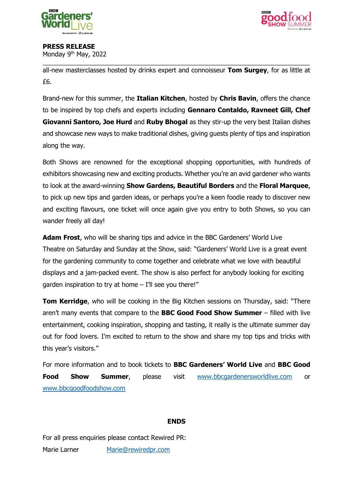



# **PRESS RELEASE**

Monday 9th May, 2022

\_\_\_\_\_\_\_\_\_\_\_\_\_\_\_\_\_\_\_\_\_\_\_\_\_\_\_\_\_\_\_\_\_\_\_\_\_\_\_\_\_\_\_\_\_\_\_\_\_\_\_\_\_\_\_\_\_\_\_\_\_\_\_\_\_\_\_\_\_\_\_\_\_\_\_ all-new masterclasses hosted by drinks expert and connoisseur **Tom Surgey**, for as little at £6.

Brand-new for this summer, the **Italian Kitchen**, hosted by **Chris Bavin**, offers the chance to be inspired by top chefs and experts including **Gennaro Contaldo, Ravneet Gill, Chef Giovanni Santoro, Joe Hurd** and **Ruby Bhogal** as they stir-up the very best Italian dishes and showcase new ways to make traditional dishes, giving guests plenty of tips and inspiration along the way.

Both Shows are renowned for the exceptional shopping opportunities, with hundreds of exhibitors showcasing new and exciting products. Whether you're an avid gardener who wants to look at the award-winning **Show Gardens, Beautiful Borders** and the **Floral Marquee**, to pick up new tips and garden ideas, or perhaps you're a keen foodie ready to discover new and exciting flavours, one ticket will once again give you entry to both Shows, so you can wander freely all day!

**Adam Frost**, who will be sharing tips and advice in the BBC Gardeners' World Live Theatre on Saturday and Sunday at the Show, said: "Gardeners' World Live is a great event for the gardening community to come together and celebrate what we love with beautiful displays and a jam-packed event. The show is also perfect for anybody looking for exciting garden inspiration to try at home - I'll see you there!"

**Tom Kerridge**, who will be cooking in the Big Kitchen sessions on Thursday, said: "There aren't many events that compare to the **BBC Good Food Show Summer** – filled with live entertainment, cooking inspiration, shopping and tasting, it really is the ultimate summer day out for food lovers. I'm excited to return to the show and share my top tips and tricks with this year's visitors."

For more information and to book tickets to **BBC Gardeners' World Live** and **BBC Good Food Show Summer**, please visit [www.bbcgardenersworldlive.com](http://www.bbcgardenersworldlive.com/) or [www.bbcgoodfoodshow.com](http://www.bbcgoodfoodshow.com/) 

# **ENDS**

For all press enquiries please contact Rewired PR: Marie Larner [Marie@rewiredpr.com](mailto:Marie@rewiredpr.com)